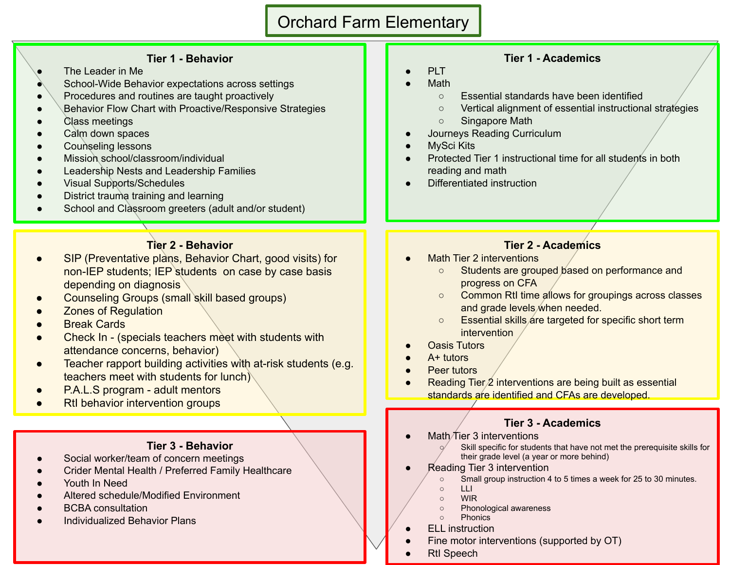# Orchard Farm Elementary

#### **Tier 1 - Behavior**

- The Leader in Me
- School-Wide Behavior expectations across settings
- Procedures and routines are taught proactively
- **Behavior Flow Chart with Proactive/Responsive Strategies**
- Class meetings
- Calm down spaces
- Counseling lessons
- Mission school/classroom/individual
- **Leadership Nests and Leadership Families**
- Visual Supports/Schedules
- District trauma training and learning
- School and Classroom greeters (adult and/or student)

### **Tier 2 - Behavior**

- SIP (Preventative plans, Behavior Chart, good visits) for non-IEP students; IEP students on case by case basis depending on diagnosis
- Counseling Groups (small skill based groups)
- **Zones of Regulation**
- **Break Cards**
- Check In (specials teachers meet with students with attendance concerns, behavior)
- Teacher rapport building activities with at-risk students (e.g. teachers meet with students for lunch)
- P.A.L.S program adult mentors
- **RtI behavior intervention groups**

#### **Tier 3 - Behavior**

- Social worker/team of concern meetings
- Crider Mental Health / Preferred Family Healthcare
- Youth In Need
- Altered schedule/Modified Environment
- **BCBA** consultation
- **Individualized Behavior Plans**

### **Tier 1 - Academics**

- PLT
- **Math** 
	- Essential standards have been identified
	- Vertical alignment of essential instructional strategies
	- Singapore Math
- Journeys Reading Curriculum
- **MySci Kits**
- Protected Tier 1 instructional time for all students in both reading and math
- Differentiated instruction

## **Tier 2 - Academics**

- **Math Tier 2 interventions** 
	- Students are grouped based on performance and progress on CFA
	- Common RtI time allows for groupings across classes and grade levels when needed.
	- Essential skills are targeted for specific short term intervention
- **Oasis Tutors**
- $A+$  tutors
- **Peer tutors**
- Reading Tier $\chi$  interventions are being built as essential standards are identified and CFAs are developed.

### **Tier 3 - Academics**

Math $\pi$ ier 3 interventions

Skill specific for students that have not met the prerequisite skills for their grade level (a year or more behind)

- **Reading Tier 3 intervention** 
	- Small group instruction 4 to 5 times a week for 25 to 30 minutes.
	- LLI
	- WIR
	- Phonological awareness
	- Phonics
- **ELL** instruction
- Fine motor interventions (supported by OT)
- **RtI Speech**